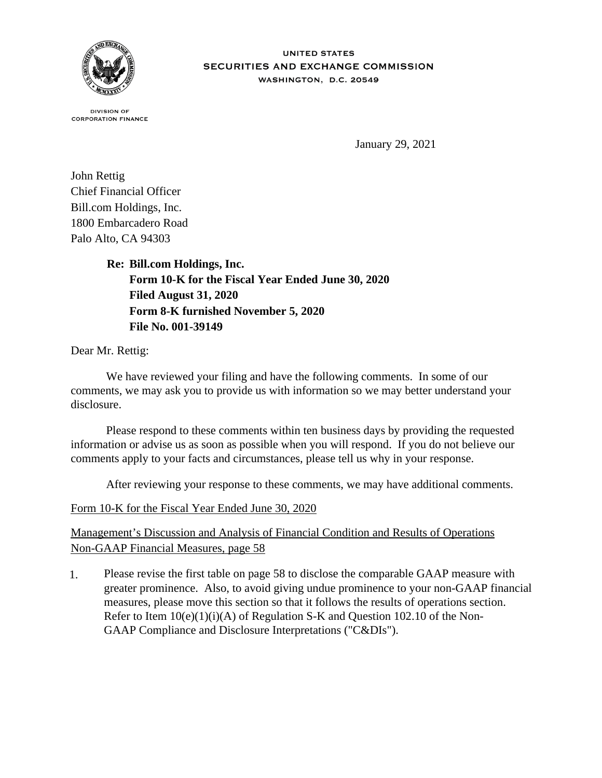

## **UNITED STATES** SECURITIES AND EXCHANGE COMMISSION WASHINGTON, D.C. 20549

**DIVISION OF CORPORATION FINANCE** 

January 29, 2021

John Rettig Chief Financial Officer Bill.com Holdings, Inc. 1800 Embarcadero Road Palo Alto, CA 94303

> **Re: Bill.com Holdings, Inc. Form 10-K for the Fiscal Year Ended June 30, 2020 Filed August 31, 2020 Form 8-K furnished November 5, 2020 File No. 001-39149**

Dear Mr. Rettig:

 We have reviewed your filing and have the following comments. In some of our comments, we may ask you to provide us with information so we may better understand your disclosure.

 Please respond to these comments within ten business days by providing the requested information or advise us as soon as possible when you will respond. If you do not believe our comments apply to your facts and circumstances, please tell us why in your response.

After reviewing your response to these comments, we may have additional comments.

Form 10-K for the Fiscal Year Ended June 30, 2020

Management's Discussion and Analysis of Financial Condition and Results of Operations Non-GAAP Financial Measures, page 58

1. Please revise the first table on page 58 to disclose the comparable GAAP measure with greater prominence. Also, to avoid giving undue prominence to your non-GAAP financial measures, please move this section so that it follows the results of operations section. Refer to Item  $10(e)(1)(i)(A)$  of Regulation S-K and Question 102.10 of the Non-GAAP Compliance and Disclosure Interpretations ("C&DIs").